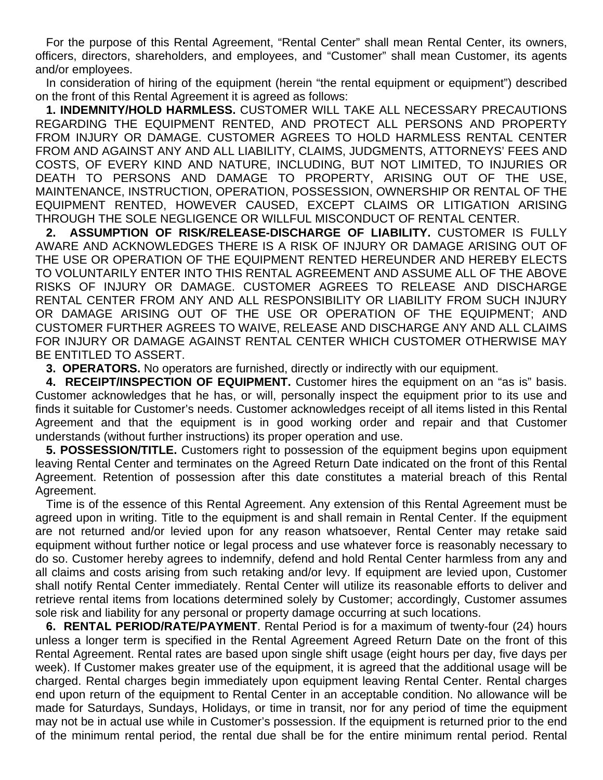For the purpose of this Rental Agreement, "Rental Center" shall mean Rental Center, its owners, officers, directors, shareholders, and employees, and "Customer" shall mean Customer, its agents and/or employees.

In consideration of hiring of the equipment (herein "the rental equipment or equipment") described on the front of this Rental Agreement it is agreed as follows:

**1. INDEMNITY/HOLD HARMLESS.** CUSTOMER WILL TAKE ALL NECESSARY PRECAUTIONS REGARDING THE EQUIPMENT RENTED, AND PROTECT ALL PERSONS AND PROPERTY FROM INJURY OR DAMAGE. CUSTOMER AGREES TO HOLD HARMLESS RENTAL CENTER FROM AND AGAINST ANY AND ALL LIABILITY, CLAIMS, JUDGMENTS, ATTORNEYS' FEES AND COSTS, OF EVERY KIND AND NATURE, INCLUDING, BUT NOT LIMITED, TO INJURIES OR DEATH TO PERSONS AND DAMAGE TO PROPERTY, ARISING OUT OF THE USE, MAINTENANCE, INSTRUCTION, OPERATION, POSSESSION, OWNERSHIP OR RENTAL OF THE EQUIPMENT RENTED, HOWEVER CAUSED, EXCEPT CLAIMS OR LITIGATION ARISING THROUGH THE SOLE NEGLIGENCE OR WILLFUL MISCONDUCT OF RENTAL CENTER.

**2. ASSUMPTION OF RISK/RELEASE-DISCHARGE OF LIABILITY.** CUSTOMER IS FULLY AWARE AND ACKNOWLEDGES THERE IS A RISK OF INJURY OR DAMAGE ARISING OUT OF THE USE OR OPERATION OF THE EQUIPMENT RENTED HEREUNDER AND HEREBY ELECTS TO VOLUNTARILY ENTER INTO THIS RENTAL AGREEMENT AND ASSUME ALL OF THE ABOVE RISKS OF INJURY OR DAMAGE. CUSTOMER AGREES TO RELEASE AND DISCHARGE RENTAL CENTER FROM ANY AND ALL RESPONSIBILITY OR LIABILITY FROM SUCH INJURY OR DAMAGE ARISING OUT OF THE USE OR OPERATION OF THE EQUIPMENT; AND CUSTOMER FURTHER AGREES TO WAIVE, RELEASE AND DISCHARGE ANY AND ALL CLAIMS FOR INJURY OR DAMAGE AGAINST RENTAL CENTER WHICH CUSTOMER OTHERWISE MAY BE ENTITLED TO ASSERT.

**3. OPERATORS.** No operators are furnished, directly or indirectly with our equipment.

**4. RECEIPT/INSPECTION OF EQUIPMENT.** Customer hires the equipment on an "as is" basis. Customer acknowledges that he has, or will, personally inspect the equipment prior to its use and finds it suitable for Customer's needs. Customer acknowledges receipt of all items listed in this Rental Agreement and that the equipment is in good working order and repair and that Customer understands (without further instructions) its proper operation and use.

**5. POSSESSION/TITLE.** Customers right to possession of the equipment begins upon equipment leaving Rental Center and terminates on the Agreed Return Date indicated on the front of this Rental Agreement. Retention of possession after this date constitutes a material breach of this Rental Agreement.

Time is of the essence of this Rental Agreement. Any extension of this Rental Agreement must be agreed upon in writing. Title to the equipment is and shall remain in Rental Center. If the equipment are not returned and/or levied upon for any reason whatsoever, Rental Center may retake said equipment without further notice or legal process and use whatever force is reasonably necessary to do so. Customer hereby agrees to indemnify, defend and hold Rental Center harmless from any and all claims and costs arising from such retaking and/or levy. If equipment are levied upon, Customer shall notify Rental Center immediately. Rental Center will utilize its reasonable efforts to deliver and retrieve rental items from locations determined solely by Customer; accordingly, Customer assumes sole risk and liability for any personal or property damage occurring at such locations.

**6. RENTAL PERIOD/RATE/PAYMENT**. Rental Period is for a maximum of twenty-four (24) hours unless a longer term is specified in the Rental Agreement Agreed Return Date on the front of this Rental Agreement. Rental rates are based upon single shift usage (eight hours per day, five days per week). If Customer makes greater use of the equipment, it is agreed that the additional usage will be charged. Rental charges begin immediately upon equipment leaving Rental Center. Rental charges end upon return of the equipment to Rental Center in an acceptable condition. No allowance will be made for Saturdays, Sundays, Holidays, or time in transit, nor for any period of time the equipment may not be in actual use while in Customer's possession. If the equipment is returned prior to the end of the minimum rental period, the rental due shall be for the entire minimum rental period. Rental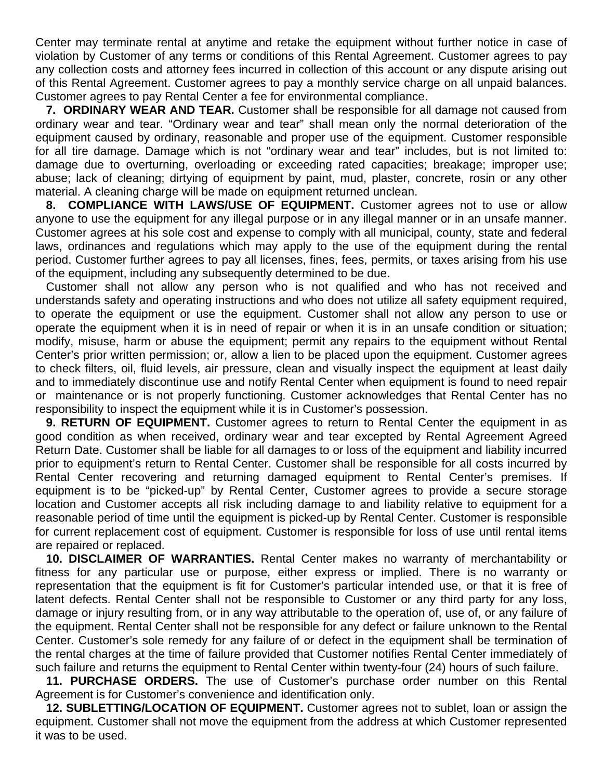Center may terminate rental at anytime and retake the equipment without further notice in case of violation by Customer of any terms or conditions of this Rental Agreement. Customer agrees to pay any collection costs and attorney fees incurred in collection of this account or any dispute arising out of this Rental Agreement. Customer agrees to pay a monthly service charge on all unpaid balances. Customer agrees to pay Rental Center a fee for environmental compliance.

**7. ORDINARY WEAR AND TEAR.** Customer shall be responsible for all damage not caused from ordinary wear and tear. "Ordinary wear and tear" shall mean only the normal deterioration of the equipment caused by ordinary, reasonable and proper use of the equipment. Customer responsible for all tire damage. Damage which is not "ordinary wear and tear" includes, but is not limited to: damage due to overturning, overloading or exceeding rated capacities; breakage; improper use; abuse; lack of cleaning; dirtying of equipment by paint, mud, plaster, concrete, rosin or any other material. A cleaning charge will be made on equipment returned unclean.

**8. COMPLIANCE WITH LAWS/USE OF EQUIPMENT.** Customer agrees not to use or allow anyone to use the equipment for any illegal purpose or in any illegal manner or in an unsafe manner. Customer agrees at his sole cost and expense to comply with all municipal, county, state and federal laws, ordinances and regulations which may apply to the use of the equipment during the rental period. Customer further agrees to pay all licenses, fines, fees, permits, or taxes arising from his use of the equipment, including any subsequently determined to be due.

Customer shall not allow any person who is not qualified and who has not received and understands safety and operating instructions and who does not utilize all safety equipment required, to operate the equipment or use the equipment. Customer shall not allow any person to use or operate the equipment when it is in need of repair or when it is in an unsafe condition or situation; modify, misuse, harm or abuse the equipment; permit any repairs to the equipment without Rental Center's prior written permission; or, allow a lien to be placed upon the equipment. Customer agrees to check filters, oil, fluid levels, air pressure, clean and visually inspect the equipment at least daily and to immediately discontinue use and notify Rental Center when equipment is found to need repair or maintenance or is not properly functioning. Customer acknowledges that Rental Center has no responsibility to inspect the equipment while it is in Customer's possession.

**9. RETURN OF EQUIPMENT.** Customer agrees to return to Rental Center the equipment in as good condition as when received, ordinary wear and tear excepted by Rental Agreement Agreed Return Date. Customer shall be liable for all damages to or loss of the equipment and liability incurred prior to equipment's return to Rental Center. Customer shall be responsible for all costs incurred by Rental Center recovering and returning damaged equipment to Rental Center's premises. If equipment is to be "picked-up" by Rental Center, Customer agrees to provide a secure storage location and Customer accepts all risk including damage to and liability relative to equipment for a reasonable period of time until the equipment is picked-up by Rental Center. Customer is responsible for current replacement cost of equipment. Customer is responsible for loss of use until rental items are repaired or replaced.

**10. DISCLAIMER OF WARRANTIES.** Rental Center makes no warranty of merchantability or fitness for any particular use or purpose, either express or implied. There is no warranty or representation that the equipment is fit for Customer's particular intended use, or that it is free of latent defects. Rental Center shall not be responsible to Customer or any third party for any loss, damage or injury resulting from, or in any way attributable to the operation of, use of, or any failure of the equipment. Rental Center shall not be responsible for any defect or failure unknown to the Rental Center. Customer's sole remedy for any failure of or defect in the equipment shall be termination of the rental charges at the time of failure provided that Customer notifies Rental Center immediately of such failure and returns the equipment to Rental Center within twenty-four (24) hours of such failure.

**11. PURCHASE ORDERS.** The use of Customer's purchase order number on this Rental Agreement is for Customer's convenience and identification only.

**12. SUBLETTING/LOCATION OF EQUIPMENT.** Customer agrees not to sublet, loan or assign the equipment. Customer shall not move the equipment from the address at which Customer represented it was to be used.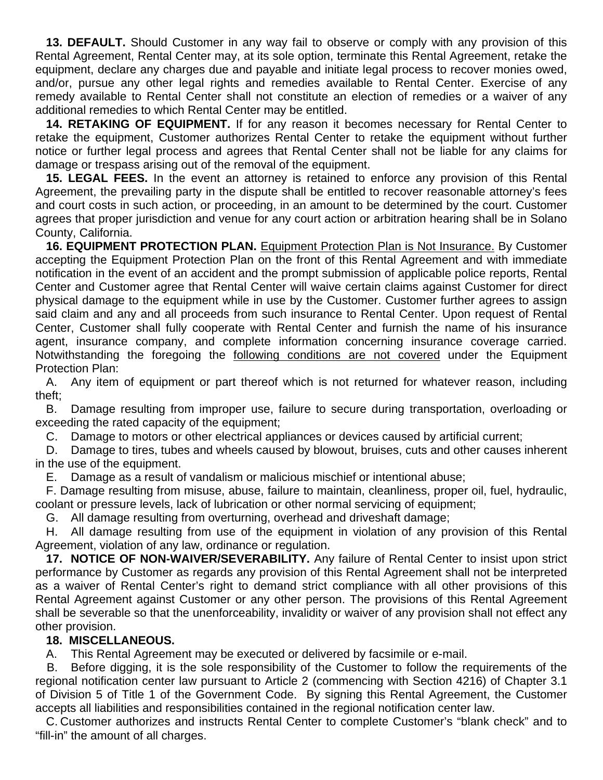**13. DEFAULT.** Should Customer in any way fail to observe or comply with any provision of this Rental Agreement, Rental Center may, at its sole option, terminate this Rental Agreement, retake the equipment, declare any charges due and payable and initiate legal process to recover monies owed, and/or, pursue any other legal rights and remedies available to Rental Center. Exercise of any remedy available to Rental Center shall not constitute an election of remedies or a waiver of any additional remedies to which Rental Center may be entitled.

**14. RETAKING OF EQUIPMENT.** If for any reason it becomes necessary for Rental Center to retake the equipment, Customer authorizes Rental Center to retake the equipment without further notice or further legal process and agrees that Rental Center shall not be liable for any claims for damage or trespass arising out of the removal of the equipment.

**15. LEGAL FEES.** In the event an attorney is retained to enforce any provision of this Rental Agreement, the prevailing party in the dispute shall be entitled to recover reasonable attorney's fees and court costs in such action, or proceeding, in an amount to be determined by the court. Customer agrees that proper jurisdiction and venue for any court action or arbitration hearing shall be in Solano County, California.

**16. EQUIPMENT PROTECTION PLAN.** Equipment Protection Plan is Not Insurance. By Customer accepting the Equipment Protection Plan on the front of this Rental Agreement and with immediate notification in the event of an accident and the prompt submission of applicable police reports, Rental Center and Customer agree that Rental Center will waive certain claims against Customer for direct physical damage to the equipment while in use by the Customer. Customer further agrees to assign said claim and any and all proceeds from such insurance to Rental Center. Upon request of Rental Center, Customer shall fully cooperate with Rental Center and furnish the name of his insurance agent, insurance company, and complete information concerning insurance coverage carried. Notwithstanding the foregoing the following conditions are not covered under the Equipment Protection Plan:

A. Any item of equipment or part thereof which is not returned for whatever reason, including theft;

B. Damage resulting from improper use, failure to secure during transportation, overloading or exceeding the rated capacity of the equipment;

C. Damage to motors or other electrical appliances or devices caused by artificial current;

D. Damage to tires, tubes and wheels caused by blowout, bruises, cuts and other causes inherent in the use of the equipment.

E. Damage as a result of vandalism or malicious mischief or intentional abuse;

F. Damage resulting from misuse, abuse, failure to maintain, cleanliness, proper oil, fuel, hydraulic, coolant or pressure levels, lack of lubrication or other normal servicing of equipment;

G. All damage resulting from overturning, overhead and driveshaft damage;

H. All damage resulting from use of the equipment in violation of any provision of this Rental Agreement, violation of any law, ordinance or regulation.

**17. NOTICE OF NON-WAIVER/SEVERABILITY.** Any failure of Rental Center to insist upon strict performance by Customer as regards any provision of this Rental Agreement shall not be interpreted as a waiver of Rental Center's right to demand strict compliance with all other provisions of this Rental Agreement against Customer or any other person. The provisions of this Rental Agreement shall be severable so that the unenforceability, invalidity or waiver of any provision shall not effect any other provision.

## **18. MISCELLANEOUS.**

A. This Rental Agreement may be executed or delivered by facsimile or e-mail.

B. Before digging, it is the sole responsibility of the Customer to follow the requirements of the regional notification center law pursuant to Article 2 (commencing with Section 4216) of Chapter 3.1 of Division 5 of Title 1 of the Government Code. By signing this Rental Agreement, the Customer accepts all liabilities and responsibilities contained in the regional notification center law.

C. Customer authorizes and instructs Rental Center to complete Customer's "blank check" and to "fill-in" the amount of all charges.